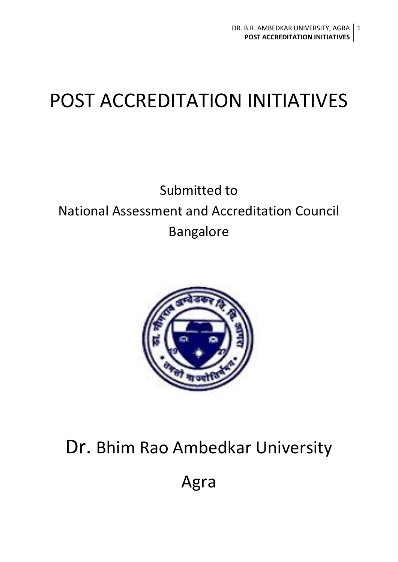# POST ACCREDITATION INITIATIVES

# Submitted to National Assessment and Accreditation Council Bangalore



# Dr. Bhim Rao Ambedkar University

Agra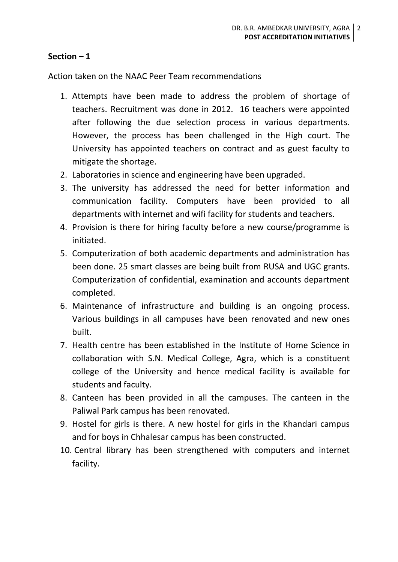### **Section – 1**

Action taken on the NAAC Peer Team recommendations

- 1. Attempts have been made to address the problem of shortage of teachers. Recruitment was done in 2012. 16 teachers were appointed after following the due selection process in various departments. However, the process has been challenged in the High court. The University has appointed teachers on contract and as guest faculty to mitigate the shortage.
- 2. Laboratories in science and engineering have been upgraded.
- 3. The university has addressed the need for better information and communication facility. Computers have been provided to all departments with internet and wifi facility for students and teachers.
- 4. Provision is there for hiring faculty before a new course/programme is initiated.
- 5. Computerization of both academic departments and administration has been done. 25 smart classes are being built from RUSA and UGC grants. Computerization of confidential, examination and accounts department completed.
- 6. Maintenance of infrastructure and building is an ongoing process. Various buildings in all campuses have been renovated and new ones built.
- 7. Health centre has been established in the Institute of Home Science in collaboration with S.N. Medical College, Agra, which is a constituent college of the University and hence medical facility is available for students and faculty.
- 8. Canteen has been provided in all the campuses. The canteen in the Paliwal Park campus has been renovated.
- 9. Hostel for girls is there. A new hostel for girls in the Khandari campus and for boys in Chhalesar campus has been constructed.
- 10. Central library has been strengthened with computers and internet facility.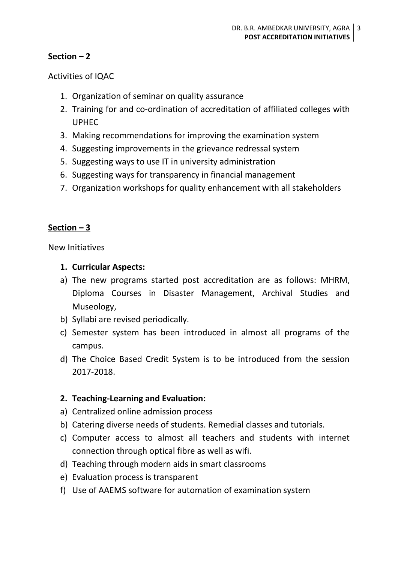# **Section – 2**

Activities of IQAC

- 1. Organization of seminar on quality assurance
- 2. Training for and co-ordination of accreditation of affiliated colleges with UPHEC
- 3. Making recommendations for improving the examination system
- 4. Suggesting improvements in the grievance redressal system
- 5. Suggesting ways to use IT in university administration
- 6. Suggesting ways for transparency in financial management
- 7. Organization workshops for quality enhancement with all stakeholders

## **Section – 3**

New Initiatives

- **1. Curricular Aspects:**
- a) The new programs started post accreditation are as follows: MHRM, Diploma Courses in Disaster Management, Archival Studies and Museology,
- b) Syllabi are revised periodically.
- c) Semester system has been introduced in almost all programs of the campus.
- d) The Choice Based Credit System is to be introduced from the session 2017-2018.

## **2. Teaching-Learning and Evaluation:**

- a) Centralized online admission process
- b) Catering diverse needs of students. Remedial classes and tutorials.
- c) Computer access to almost all teachers and students with internet connection through optical fibre as well as wifi.
- d) Teaching through modern aids in smart classrooms
- e) Evaluation process is transparent
- f) Use of AAEMS software for automation of examination system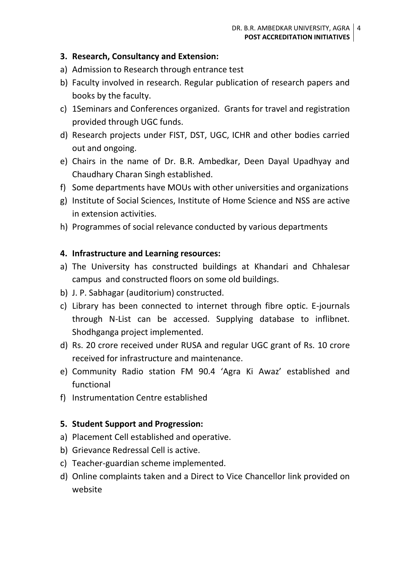### **3. Research, Consultancy and Extension:**

- a) Admission to Research through entrance test
- b) Faculty involved in research. Regular publication of research papers and books by the faculty.
- c) 1Seminars and Conferences organized. Grants for travel and registration provided through UGC funds.
- d) Research projects under FIST, DST, UGC, ICHR and other bodies carried out and ongoing.
- e) Chairs in the name of Dr. B.R. Ambedkar, Deen Dayal Upadhyay and Chaudhary Charan Singh established.
- f) Some departments have MOUs with other universities and organizations
- g) Institute of Social Sciences, Institute of Home Science and NSS are active in extension activities.
- h) Programmes of social relevance conducted by various departments

### **4. Infrastructure and Learning resources:**

- a) The University has constructed buildings at Khandari and Chhalesar campus and constructed floors on some old buildings.
- b) J. P. Sabhagar (auditorium) constructed.
- c) Library has been connected to internet through fibre optic. E-journals through N-List can be accessed. Supplying database to inflibnet. Shodhganga project implemented.
- d) Rs. 20 crore received under RUSA and regular UGC grant of Rs. 10 crore received for infrastructure and maintenance.
- e) Community Radio station FM 90.4 'Agra Ki Awaz' established and functional
- f) Instrumentation Centre established

#### **5. Student Support and Progression:**

- a) Placement Cell established and operative.
- b) Grievance Redressal Cell is active.
- c) Teacher-guardian scheme implemented.
- d) Online complaints taken and a Direct to Vice Chancellor link provided on website